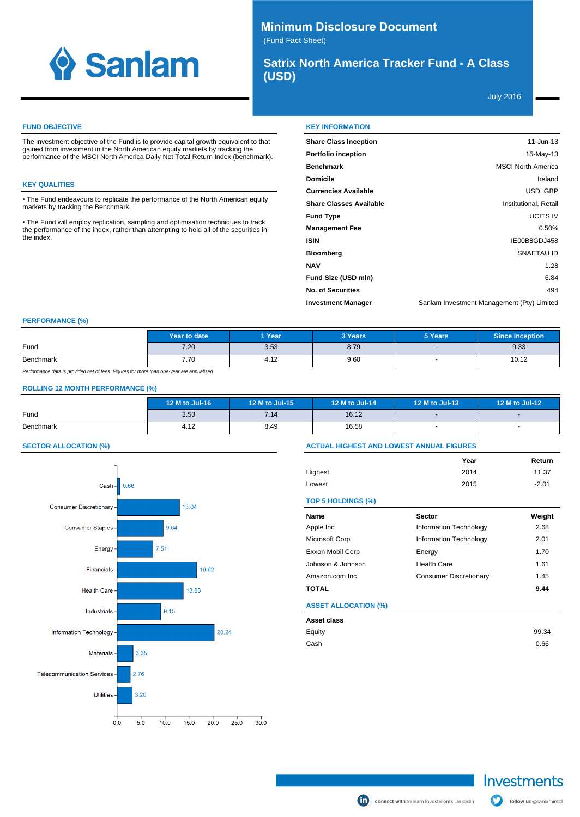

# **Minimum Disclosure Document** (Fund Fact Sheet)

**Satrix North America Tracker Fund - A Class (USD)**

July 2016

# **FUND OBJECTIVE**

The investment objective of the Fund is to provide capital growth equivalent to that gained from investment in the North American equity markets by tracking the performance of the MSCI North America Daily Net Total Return Index (benchmark).

# **KEY QUALITIES**

The Fund endeavours to replicate the performance of the North American equity markets by tracking the Benchmark.

The Fund will employ replication, sampling and optimisation techniques to track the performance of the index, rather than attempting to hold all of the securities in the index.

|  | <b>KEY INFORMATION</b> |
|--|------------------------|
|  |                        |

| <b>Share Class Inception</b>   | $11$ -Jun-13                               |
|--------------------------------|--------------------------------------------|
| <b>Portfolio inception</b>     | 15-May-13                                  |
| <b>Benchmark</b>               | <b>MSCI North America</b>                  |
| <b>Domicile</b>                | Ireland                                    |
| <b>Currencies Available</b>    | USD, GBP                                   |
| <b>Share Classes Available</b> | Institutional, Retail                      |
| <b>Fund Type</b>               | <b>UCITS IV</b>                            |
| <b>Management Fee</b>          | 0.50%                                      |
| <b>ISIN</b>                    | IE00B8GDJ458                               |
| <b>Bloomberg</b>               | SNAETAU ID                                 |
| <b>NAV</b>                     | 1.28                                       |
| Fund Size (USD mln)            | 6.84                                       |
| <b>No. of Securities</b>       | 494                                        |
| <b>Investment Manager</b>      | Sanlam Investment Management (Pty) Limited |

### **PERFORMANCE (%)**

|                                                                                          | Year to date | 1 Year | 3 Years | 5 Years                  | <b>Since Inception</b> |
|------------------------------------------------------------------------------------------|--------------|--------|---------|--------------------------|------------------------|
| Fund                                                                                     | 7.20         | 3.53   | 8.79    | $\overline{\phantom{0}}$ | 9.33                   |
| Benchmark                                                                                | 7.70         | 4.12   | 9.60    |                          | 10.12                  |
| Performance data is provided net of fees. Figures for more than one-vear are annualised. |              |        |         |                          |                        |

## **ROLLING 12 MONTH PERFORMANCE (%)**

|           | 12 M to Jul-16 | 12 M to Jul-15 | 12 M to Jul-14 | 12 M to Jul-13           | 12 M to Jul-12 |
|-----------|----------------|----------------|----------------|--------------------------|----------------|
| Fund      | 3.53           | 7.14           | 16.12          | $\overline{\phantom{a}}$ |                |
| Benchmark | 4.12           | 8.49           | 16.58          | $\overline{\phantom{a}}$ |                |

### **SECTOR ALLOCATION (%)**



### **ACTUAL HIGHEST AND LOWEST ANNUAL FIGURES**

|         | Year | Return  |
|---------|------|---------|
| Highest | 2014 | 11.37   |
| Lowest  | 2015 | $-2.01$ |

### **TOP 5 HOLDINGS (%)**

| Name                        | <b>Sector</b>                 | Weight |
|-----------------------------|-------------------------------|--------|
| Apple Inc                   | Information Technology        | 2.68   |
| Microsoft Corp              | Information Technology        | 2.01   |
| Exxon Mobil Corp            | Energy                        | 1.70   |
| Johnson & Johnson           | <b>Health Care</b>            | 1.61   |
| Amazon.com Inc.             | <b>Consumer Discretionary</b> | 1.45   |
| <b>TOTAL</b>                |                               | 9.44   |
| <b>ASSET ALLOCATION (%)</b> |                               |        |
| Asset class                 |                               |        |
| Equity                      |                               | 99.34  |

Cash 0.66

follow us @sanlamintel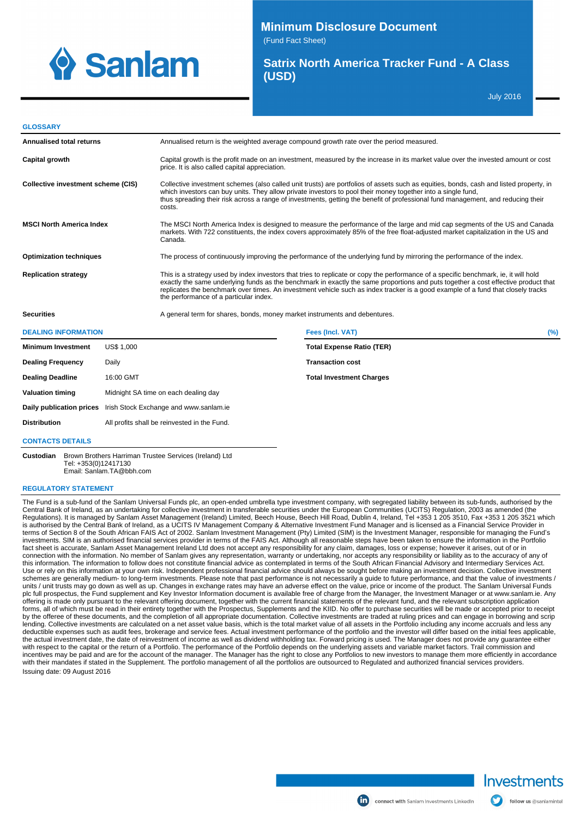

**Minimum Disclosure Document** 

(Fund Fact Sheet)

# **Satrix North America Tracker Fund - A Class (USD)**

July 2016

#### **GLOSSARY**

| Annualised total returns                                        |                   | Annualised return is the weighted average compound growth rate over the period measured.                                                                                                                                                                                                                                                                                                             |                                                                                                                                                                                                                                                                                                                                                                                                                |     |
|-----------------------------------------------------------------|-------------------|------------------------------------------------------------------------------------------------------------------------------------------------------------------------------------------------------------------------------------------------------------------------------------------------------------------------------------------------------------------------------------------------------|----------------------------------------------------------------------------------------------------------------------------------------------------------------------------------------------------------------------------------------------------------------------------------------------------------------------------------------------------------------------------------------------------------------|-----|
| Capital growth                                                  |                   | Capital growth is the profit made on an investment, measured by the increase in its market value over the invested amount or cost<br>price. It is also called capital appreciation.                                                                                                                                                                                                                  |                                                                                                                                                                                                                                                                                                                                                                                                                |     |
| Collective investment scheme (CIS)                              |                   | Collective investment schemes (also called unit trusts) are portfolios of assets such as equities, bonds, cash and listed property, in<br>which investors can buy units. They allow private investors to pool their money together into a single fund,<br>thus spreading their risk across a range of investments, getting the benefit of professional fund management, and reducing their<br>costs. |                                                                                                                                                                                                                                                                                                                                                                                                                |     |
| <b>MSCI North America Index</b>                                 |                   | The MSCI North America Index is designed to measure the performance of the large and mid cap segments of the US and Canada<br>markets. With 722 constituents, the index covers approximately 85% of the free float-adjusted market capitalization in the US and<br>Canada.                                                                                                                           |                                                                                                                                                                                                                                                                                                                                                                                                                |     |
| <b>Optimization techniques</b>                                  |                   |                                                                                                                                                                                                                                                                                                                                                                                                      | The process of continuously improving the performance of the underlying fund by mirroring the performance of the index.                                                                                                                                                                                                                                                                                        |     |
| <b>Replication strategy</b>                                     |                   | the performance of a particular index.                                                                                                                                                                                                                                                                                                                                                               | This is a strategy used by index investors that tries to replicate or copy the performance of a specific benchmark, ie, it will hold<br>exactly the same underlying funds as the benchmark in exactly the same proportions and puts together a cost effective product that<br>replicates the benchmark over times. An investment vehicle such as index tracker is a good example of a fund that closely tracks |     |
| <b>Securities</b>                                               |                   | A general term for shares, bonds, money market instruments and debentures.                                                                                                                                                                                                                                                                                                                           |                                                                                                                                                                                                                                                                                                                                                                                                                |     |
| <b>DEALING INFORMATION</b>                                      |                   |                                                                                                                                                                                                                                                                                                                                                                                                      | Fees (Incl. VAT)                                                                                                                                                                                                                                                                                                                                                                                               | (%) |
| <b>Minimum Investment</b>                                       | <b>US\$ 1.000</b> |                                                                                                                                                                                                                                                                                                                                                                                                      | <b>Total Expense Ratio (TER)</b>                                                                                                                                                                                                                                                                                                                                                                               |     |
| <b>Dealing Frequency</b>                                        | Daily             |                                                                                                                                                                                                                                                                                                                                                                                                      | <b>Transaction cost</b>                                                                                                                                                                                                                                                                                                                                                                                        |     |
| <b>Dealing Deadline</b>                                         | 16:00 GMT         |                                                                                                                                                                                                                                                                                                                                                                                                      | <b>Total Investment Charges</b>                                                                                                                                                                                                                                                                                                                                                                                |     |
| Midnight SA time on each dealing day<br><b>Valuation timing</b> |                   |                                                                                                                                                                                                                                                                                                                                                                                                      |                                                                                                                                                                                                                                                                                                                                                                                                                |     |

## **CONTACTS DETAILS**

**Custodian** Brown Brothers Harriman Trustee Services (Ireland) Ltd Tel: +353(0)12417130 Email: Sanlam.TA@bbh.com

**Daily publication prices** Irish Stock Exchange and www.sanlam.ie **Distribution** All profits shall be reinvested in the Fund.

### **REGULATORY STATEMENT**

The Fund is a sub-fund of the Sanlam Universal Funds plc, an open-ended umbrella type investment company, with segregated liability between its sub-funds, authorised by the Central Bank of Ireland, as an undertaking for collective investment in transferable securities under the European Communities (UCITS) Regulation, 2003 as amended (the Regulations). It is managed by Sanlam Asset Management (Ireland) Limited, Beech House, Beech Hill Road, Dublin 4, Ireland, Tel +353 1 205 3510, Fax +353 1 205 3521 which is authorised by the Central Bank of Ireland, as a UCITS IV Management Company & Alternative Investment Fund Manager and is licensed as a Financial Service Provider in terms of Section 8 of the South African FAIS Act of 2002. Sanlam Investment Management (Pty) Limited (SIM) is the Investment Manager, responsible for managing the Fund's<br>investments. SIM is an authorised financial services connection with the information. No member of Sanlam gives any representation, warranty or undertaking, nor accepts any responsibility or liability as to the accuracy of any of this information. The information to follow does not constitute financial advice as contemplated in terms of the South African Financial Advisory and Intermediary Services Act. Use or rely on this information at your own risk. Independent professional financial advice should always be sought before making an investment decision. Collective investment<br>schemes are generally medium- to long-term inv units / unit trusts may go down as well as up. Changes in exchange rates may have an adverse effect on the value, price or income of the product. The Sanlam Universal Funds<br>plc full prospectus, the Fund supplement and Key offering is made only pursuant to the relevant offering document, together with the current financial statements of the relevant fund, and the relevant subscription application forms, all of which must be read in their entirety together with the Prospectus, Supplements and the KIID. No offer to purchase securities will be made or accepted prior to receipt by the offeree of these documents, and the completion of all appropriate documentation. Collective investments are traded at ruling prices and can engage in borrowing and scrip<br>Iending. Collective investments are calculate deductible expenses such as audit fees, brokerage and service fees. Actual investment performance of the portfolio and the investor will differ based on the initial fees applicable, the actual investment date, the date of reinvestment of income as well as dividend withholding tax. Forward pricing is used. The Manager does not provide any guarantee either with respect to the capital or the return of a Portfolio. The performance of the Portfolio depends on the underlying assets and variable market factors. Trail commission and incentives may be paid and are for the account of the manager. The Manager has the right to close any Portfolios to new investors to manage them more efficiently in accordance<br>with their mandates if stated in the Supplemen Issuing date: 09 August 2016



follow us @sanlamintel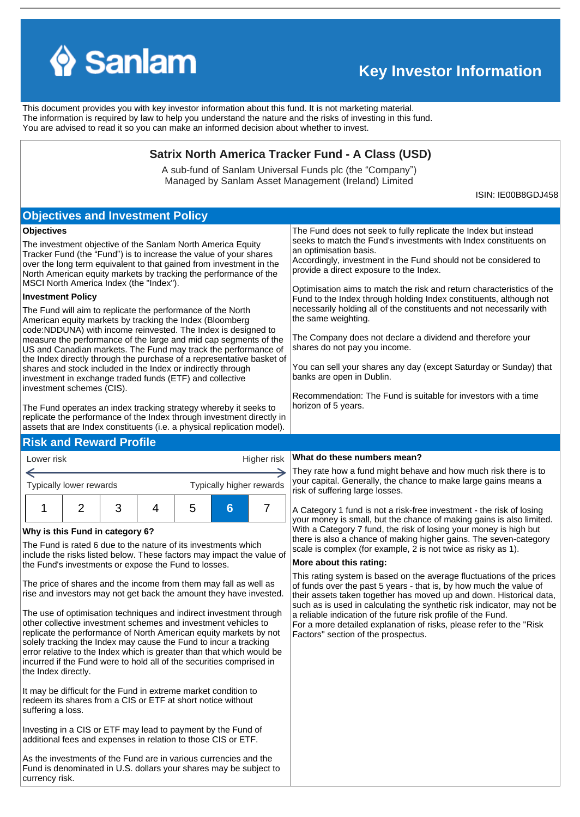

←

# **Key Investor Information**

This document provides you with key investor information about this fund. It is not marketing material. The information is required by law to help you understand the nature and the risks of investing in this fund. You are advised to read it so you can make an informed decision about whether to invest.

# **Satrix North America Tracker Fund - A Class (USD)**

A sub-fund of Sanlam Universal Funds plc (the "Company") Managed by Sanlam Asset Management (Ireland) Limited

ISIN: IE00B8GDJ458

#### The Fund will aim to replicate the performance of the North American equity markets by tracking the Index (Bloomberg code:NDDUNA) with income reinvested. The Index is designed to measure the performance of the large and mid cap segments of the US and Canadian markets. The Fund may track the performance of the Index directly through the purchase of a representative basket of shares and stock included in the Index or indirectly through investment in exchange traded funds (ETF) and collective investment schemes (CIS). The Fund operates an index tracking strategy whereby it seeks to replicate the performance of the Index through investment directly in assets that are Index constituents (i.e. a physical replication model). **Investment Policy** The investment objective of the Sanlam North America Equity Tracker Fund (the "Fund") is to increase the value of your shares over the long term equivalent to that gained from investment in the North American equity markets by tracking the performance of the MSCI North America Index (the "Index"). **Objectives** Lower risk Typically lower rewards **Why is this Fund in category 6?** The Fund is rated 6 due to the nature of its investments which include the risks listed below. These factors may impact the value of the Fund's investments or expose the Fund to losses. The price of shares and the income from them may fall as well as rise and investors may not get back the amount they have invested. The use of optimisation techniques and indirect investment through other collective investment schemes and investment vehicles to replicate the performance of North American equity markets by not solely tracking the Index may cause the Fund to incur a tracking error relative to the Index which is greater than that which would be incurred if the Fund were to hold all of the securities comprised in the Index directly. It may be difficult for the Fund in extreme market condition to redeem its shares from a CIS or ETF at short notice without suffering a loss. Investing in a CIS or ETF may lead to payment by the Fund of additional fees and expenses in relation to those CIS or ETF. Typically higher rewards Higher risk 1 2 3 4 5 **6** 7 **Objectives and Investment Policy** The Fund does not seek to fully replicate the Index but instead seeks to match the Fund's investments with Index constituents on an optimisation basis. Accordingly, investment in the Fund should not be considered to provide a direct exposure to the Index. Optimisation aims to match the risk and return characteristics of the Fund to the Index through holding Index constituents, although not necessarily holding all of the constituents and not necessarily with the same weighting. The Company does not declare a dividend and therefore your shares do not pay you income. You can sell your shares any day (except Saturday or Sunday) that banks are open in Dublin. Recommendation: The Fund is suitable for investors with a time horizon of 5 years. **Risk and Reward Profile What do these numbers mean?** risk of suffering large losses. **More about this rating:** a reliable indication of the future risk profile of the Fund. Factors'' section of the prospectus.

As the investments of the Fund are in various currencies and the Fund is denominated in U.S. dollars your shares may be subject to currency risk.

They rate how a fund might behave and how much risk there is to your capital. Generally, the chance to make large gains means a

A Category 1 fund is not a risk-free investment - the risk of losing your money is small, but the chance of making gains is also limited. With a Category 7 fund, the risk of losing your money is high but there is also a chance of making higher gains. The seven-category scale is complex (for example, 2 is not twice as risky as 1).

This rating system is based on the average fluctuations of the prices of funds over the past 5 years - that is, by how much the value of their assets taken together has moved up and down. Historical data, such as is used in calculating the synthetic risk indicator, may not be For a more detailed explanation of risks, please refer to the ''Risk